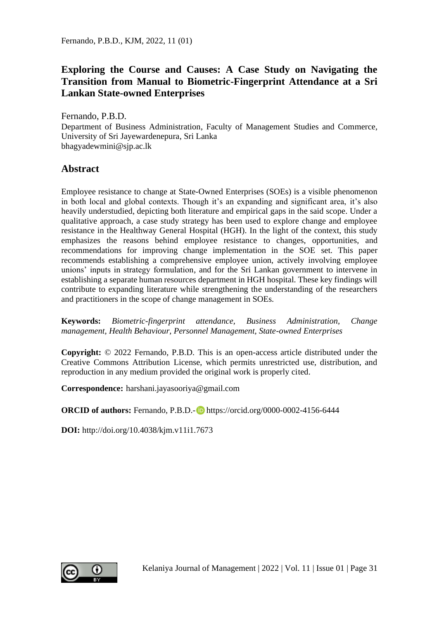## **Exploring the Course and Causes: A Case Study on Navigating the Transition from Manual to Biometric-Fingerprint Attendance at a Sri Lankan State-owned Enterprises**

Fernando, P.B.D.

Department of Business Administration, Faculty of Management Studies and Commerce, University of Sri Jayewardenepura, Sri Lanka bhagyadewmini@sjp.ac.lk

### **Abstract**

Employee resistance to change at State-Owned Enterprises (SOEs) is a visible phenomenon in both local and global contexts. Though it's an expanding and significant area, it's also heavily understudied, depicting both literature and empirical gaps in the said scope. Under a qualitative approach, a case study strategy has been used to explore change and employee resistance in the Healthway General Hospital (HGH). In the light of the context, this study emphasizes the reasons behind employee resistance to changes, opportunities, and recommendations for improving change implementation in the SOE set. This paper recommends establishing a comprehensive employee union, actively involving employee unions' inputs in strategy formulation, and for the Sri Lankan government to intervene in establishing a separate human resources department in HGH hospital. These key findings will contribute to expanding literature while strengthening the understanding of the researchers and practitioners in the scope of change management in SOEs.

**Keywords:** *Biometric-fingerprint attendance, Business Administration, Change management, Health Behaviour, Personnel Management, State-owned Enterprises*

**Copyright:** © 2022 Fernando, P.B.D. This is an open-access article distributed under the Creative Commons Attribution License, which permits unrestricted use, distribution, and reproduction in any medium provided the original work is properly cited.

**Correspondence:** harshani.jayasooriya@gmail.com

**ORCID of authors:** Fernando, P.B.D.- **D** https://orcid.org/0000-0002-4156-6444

**DOI:** http://doi.org/10.4038/kjm.v11i1.7673

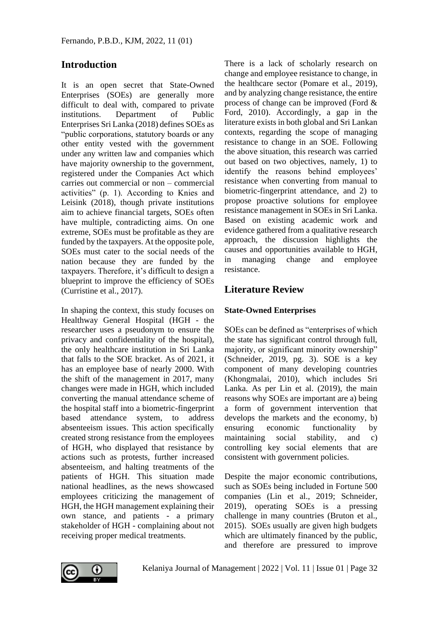## **Introduction**

It is an open secret that State-Owned Enterprises (SOEs) are generally more difficult to deal with, compared to private institutions. Department of Public Enterprises Sri Lanka (2018) defines SOEs as "public corporations, statutory boards or any other entity vested with the government under any written law and companies which have majority ownership to the government, registered under the Companies Act which carries out commercial or non – commercial activities" (p. 1). According to Knies and Leisink (2018), though private institutions aim to achieve financial targets, SOEs often have multiple, contradicting aims. On one extreme, SOEs must be profitable as they are funded by the taxpayers. At the opposite pole, SOEs must cater to the social needs of the nation because they are funded by the taxpayers. Therefore, it's difficult to design a blueprint to improve the efficiency of SOEs (Curristine et al., 2017).

In shaping the context, this study focuses on Healthway General Hospital (HGH - the researcher uses a pseudonym to ensure the privacy and confidentiality of the hospital), the only healthcare institution in Sri Lanka that falls to the SOE bracket. As of 2021, it has an employee base of nearly 2000. With the shift of the management in 2017, many changes were made in HGH, which included converting the manual attendance scheme of the hospital staff into a biometric-fingerprint based attendance system, to address absenteeism issues. This action specifically created strong resistance from the employees of HGH, who displayed that resistance by actions such as protests, further increased absenteeism, and halting treatments of the patients of HGH. This situation made national headlines, as the news showcased employees criticizing the management of HGH, the HGH management explaining their own stance, and patients - a primary stakeholder of HGH - complaining about not receiving proper medical treatments.

There is a lack of scholarly research on change and employee resistance to change, in the healthcare sector (Pomare et al., 2019), and by analyzing change resistance, the entire process of change can be improved (Ford & Ford, 2010). Accordingly, a gap in the literature exists in both global and Sri Lankan contexts, regarding the scope of managing resistance to change in an SOE. Following the above situation, this research was carried out based on two objectives, namely, 1) to identify the reasons behind employees' resistance when converting from manual to biometric-fingerprint attendance, and 2) to propose proactive solutions for employee resistance management in SOEs in Sri Lanka. Based on existing academic work and evidence gathered from a qualitative research approach, the discussion highlights the causes and opportunities available to HGH, in managing change and employee resistance.

## **Literature Review**

### **State-Owned Enterprises**

SOEs can be defined as "enterprises of which the state has significant control through full, majority, or significant minority ownership" (Schneider, 2019, pg. 3). SOE is a key component of many developing countries (Khongmalai, 2010), which includes Sri Lanka. As per Lin et al. (2019), the main reasons why SOEs are important are a) being a form of government intervention that develops the markets and the economy, b) ensuring economic functionality by maintaining social stability, and c) controlling key social elements that are consistent with government policies.

Despite the major economic contributions, such as SOEs being included in Fortune 500 companies (Lin et al., 2019; Schneider, 2019), operating SOEs is a pressing challenge in many countries (Bruton et al., 2015). SOEs usually are given high budgets which are ultimately financed by the public, and therefore are pressured to improve

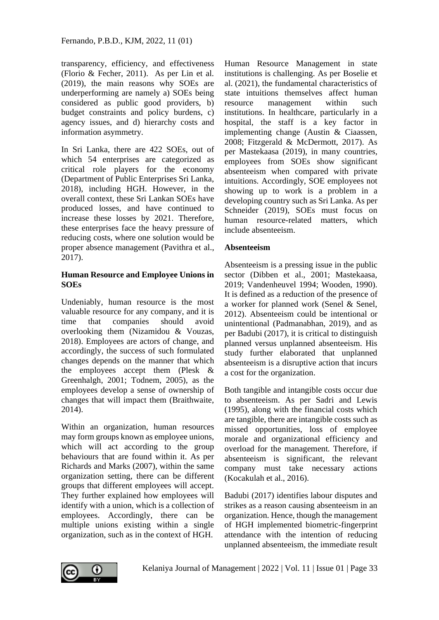transparency, efficiency, and effectiveness (Florio & Fecher, 2011). As per Lin et al. (2019), the main reasons why SOEs are underperforming are namely a) SOEs being considered as public good providers, b) budget constraints and policy burdens, c) agency issues, and d) hierarchy costs and information asymmetry.

In Sri Lanka, there are 422 SOEs, out of which 54 enterprises are categorized as critical role players for the economy (Department of Public Enterprises Sri Lanka, 2018), including HGH. However, in the overall context, these Sri Lankan SOEs have produced losses, and have continued to increase these losses by 2021. Therefore, these enterprises face the heavy pressure of reducing costs, where one solution would be proper absence management (Pavithra et al., 2017).

#### **Human Resource and Employee Unions in SOEs**

Undeniably, human resource is the most valuable resource for any company, and it is time that companies should avoid overlooking them (Nizamidou & Vouzas, 2018). Employees are actors of change, and accordingly, the success of such formulated changes depends on the manner that which the employees accept them (Plesk & Greenhalgh, 2001; Todnem, 2005), as the employees develop a sense of ownership of changes that will impact them (Braithwaite, 2014).

Within an organization, human resources may form groups known as employee unions, which will act according to the group behaviours that are found within it. As per Richards and Marks (2007), within the same organization setting, there can be different groups that different employees will accept. They further explained how employees will identify with a union, which is a collection of employees. Accordingly, there can be multiple unions existing within a single organization, such as in the context of HGH.

Human Resource Management in state institutions is challenging. As per Boselie et al. (2021), the fundamental characteristics of state intuitions themselves affect human resource management within such institutions. In healthcare, particularly in a hospital, the staff is a key factor in implementing change (Austin & Ciaassen, 2008; Fitzgerald & McDermott, 2017). As per Mastekaasa (2019), in many countries, employees from SOEs show significant absenteeism when compared with private intuitions. Accordingly, SOE employees not showing up to work is a problem in a developing country such as Sri Lanka. As per Schneider (2019), SOEs must focus on human resource-related matters, which include absenteeism.

### **Absenteeism**

Absenteeism is a pressing issue in the public sector (Dibben et al., 2001; Mastekaasa, 2019; Vandenheuvel 1994; Wooden, 1990). It is defined as a reduction of the presence of a worker for planned work (Senel & Senel, 2012). Absenteeism could be intentional or unintentional (Padmanabhan, 2019), and as per Badubi (2017), it is critical to distinguish planned versus unplanned absenteeism. His study further elaborated that unplanned absenteeism is a disruptive action that incurs a cost for the organization.

Both tangible and intangible costs occur due to absenteeism. As per Sadri and Lewis (1995), along with the financial costs which are tangible, there are intangible costs such as missed opportunities, loss of employee morale and organizational efficiency and overload for the management. Therefore, if absenteeism is significant, the relevant company must take necessary actions (Kocakulah et al., 2016).

Badubi (2017) identifies labour disputes and strikes as a reason causing absenteeism in an organization. Hence, though the management of HGH implemented biometric-fingerprint attendance with the intention of reducing unplanned absenteeism, the immediate result

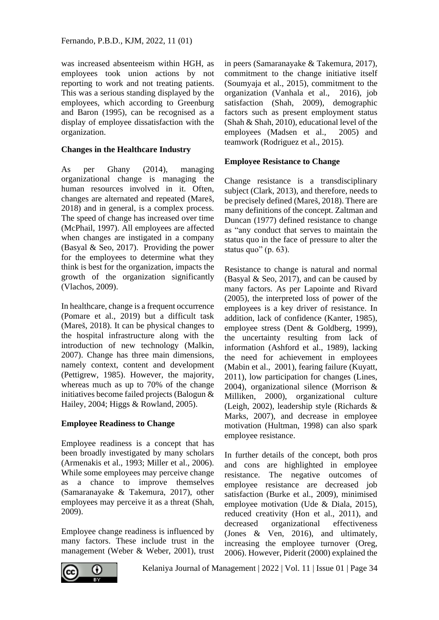was increased absenteeism within HGH, as employees took union actions by not reporting to work and not treating patients. This was a serious standing displayed by the employees, which according to Greenburg and Baron (1995), can be recognised as a display of employee dissatisfaction with the organization.

#### **Changes in the Healthcare Industry**

As per Ghany (2014), managing organizational change is managing the human resources involved in it. Often, changes are alternated and repeated (Mareš, 2018) and in general, is a complex process. The speed of change has increased over time (McPhail, 1997). All employees are affected when changes are instigated in a company (Basyal & Seo, 2017). Providing the power for the employees to determine what they think is best for the organization, impacts the growth of the organization significantly (Vlachos, 2009).

In healthcare, change is a frequent occurrence (Pomare et al., 2019) but a difficult task (Mareš, 2018). It can be physical changes to the hospital infrastructure along with the introduction of new technology (Malkin, 2007). Change has three main dimensions, namely context, content and development (Pettigrew, 1985). However, the majority, whereas much as up to 70% of the change initiatives become failed projects (Balogun & Hailey, 2004; Higgs & Rowland, 2005).

### **Employee Readiness to Change**

Employee readiness is a concept that has been broadly investigated by many scholars (Armenakis et al., 1993; Miller et al., 2006). While some employees may perceive change as a chance to improve themselves (Samaranayake & Takemura, 2017), other employees may perceive it as a threat (Shah, 2009).

Employee change readiness is influenced by many factors. These include trust in the management (Weber & Weber, 2001), trust

in peers (Samaranayake & Takemura, 2017), commitment to the change initiative itself (Soumyaja et al., 2015), commitment to the organization (Vanhala et al., 2016), job satisfaction (Shah, 2009), demographic factors such as present employment status (Shah & Shah, 2010), educational level of the employees (Madsen et al., 2005) and teamwork (Rodriguez et al., 2015).

### **Employee Resistance to Change**

Change resistance is a transdisciplinary subject (Clark, 2013), and therefore, needs to be precisely defined (Mareš, 2018). There are many definitions of the concept. Zaltman and Duncan (1977) defined resistance to change as "any conduct that serves to maintain the status quo in the face of pressure to alter the status quo" (p. 63).

Resistance to change is natural and normal (Basyal & Seo, 2017), and can be caused by many factors. As per Lapointe and Rivard (2005), the interpreted loss of power of the employees is a key driver of resistance. In addition, lack of confidence (Kanter, 1985), employee stress (Dent & Goldberg, 1999), the uncertainty resulting from lack of information (Ashford et al., 1989), lacking the need for achievement in employees (Mabin et al., 2001), fearing failure (Kuyatt, 2011), low participation for changes (Lines, 2004), organizational silence (Morrison & Milliken, 2000), organizational culture (Leigh, 2002), leadership style (Richards & Marks, 2007), and decrease in employee motivation (Hultman, 1998) can also spark employee resistance.

In further details of the concept, both pros and cons are highlighted in employee resistance. The negative outcomes of employee resistance are decreased job satisfaction (Burke et al., 2009), minimised employee motivation (Ude & Diala, 2015), reduced creativity (Hon et al., 2011), and decreased organizational effectiveness (Jones & Ven, 2016), and ultimately, increasing the employee turnover (Oreg, 2006). However, Piderit (2000) explained the

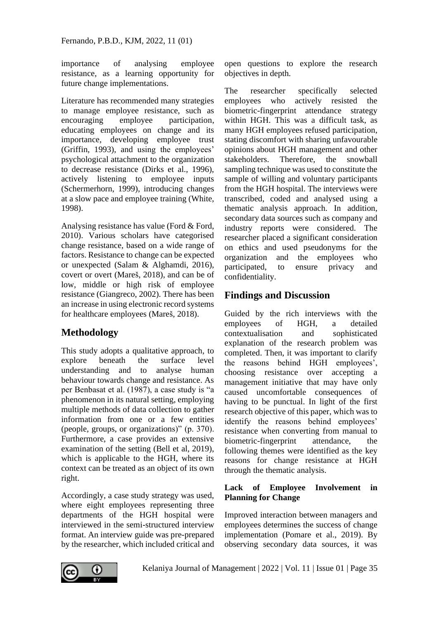importance of analysing employee resistance, as a learning opportunity for future change implementations.

Literature has recommended many strategies to manage employee resistance, such as encouraging employee participation, educating employees on change and its importance, developing employee trust (Griffin, 1993), and using the employees' psychological attachment to the organization to decrease resistance (Dirks et al., 1996), actively listening to employee inputs (Schermerhorn, 1999), introducing changes at a slow pace and employee training (White, 1998).

Analysing resistance has value (Ford & Ford, 2010). Various scholars have categorised change resistance, based on a wide range of factors. Resistance to change can be expected or unexpected (Salam & Alghamdi, 2016), covert or overt (Mareš, 2018), and can be of low, middle or high risk of employee resistance (Giangreco, 2002). There has been an increase in using electronic record systems for healthcare employees (Mareš, 2018).

## **Methodology**

This study adopts a qualitative approach, to explore beneath the surface level understanding and to analyse human behaviour towards change and resistance. As per Benbasat et al. (1987), a case study is "a phenomenon in its natural setting, employing multiple methods of data collection to gather information from one or a few entities (people, groups, or organizations)" (p. 370). Furthermore, a case provides an extensive examination of the setting (Bell et al, 2019), which is applicable to the HGH, where its context can be treated as an object of its own right.

Accordingly, a case study strategy was used, where eight employees representing three departments of the HGH hospital were interviewed in the semi-structured interview format. An interview guide was pre-prepared by the researcher, which included critical and

open questions to explore the research objectives in depth.

The researcher specifically selected employees who actively resisted the biometric-fingerprint attendance strategy within HGH. This was a difficult task, as many HGH employees refused participation, stating discomfort with sharing unfavourable opinions about HGH management and other stakeholders. Therefore, the snowball sampling technique was used to constitute the sample of willing and voluntary participants from the HGH hospital. The interviews were transcribed, coded and analysed using a thematic analysis approach. In addition, secondary data sources such as company and industry reports were considered. The researcher placed a significant consideration on ethics and used pseudonyms for the organization and the employees who participated, to ensure privacy and confidentiality.

## **Findings and Discussion**

Guided by the rich interviews with the employees of HGH, a detailed contextualisation and sophisticated explanation of the research problem was completed. Then, it was important to clarify the reasons behind HGH employees', choosing resistance over accepting a management initiative that may have only caused uncomfortable consequences of having to be punctual. In light of the first research objective of this paper, which was to identify the reasons behind employees' resistance when converting from manual to biometric-fingerprint attendance, the following themes were identified as the key reasons for change resistance at HGH through the thematic analysis.

### **Lack of Employee Involvement in Planning for Change**

Improved interaction between managers and employees determines the success of change implementation (Pomare et al., 2019). By observing secondary data sources, it was

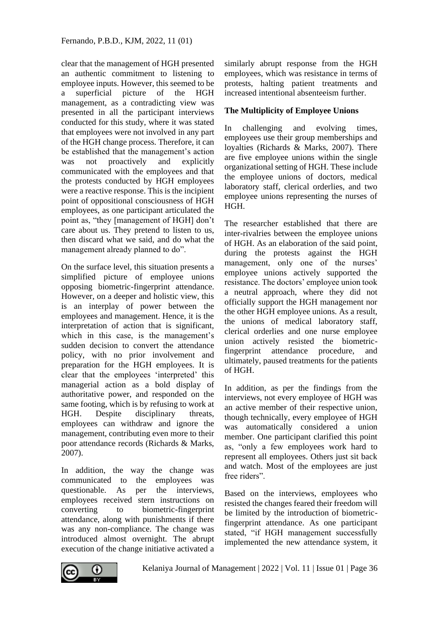clear that the management of HGH presented an authentic commitment to listening to employee inputs. However, this seemed to be a superficial picture of the HGH management, as a contradicting view was presented in all the participant interviews conducted for this study, where it was stated that employees were not involved in any part of the HGH change process. Therefore, it can be established that the management's action was not proactively and explicitly communicated with the employees and that the protests conducted by HGH employees were a reactive response. This is the incipient point of oppositional consciousness of HGH employees, as one participant articulated the point as, "they [management of HGH] don't care about us. They pretend to listen to us, then discard what we said, and do what the management already planned to do".

On the surface level, this situation presents a simplified picture of employee unions opposing biometric-fingerprint attendance. However, on a deeper and holistic view, this is an interplay of power between the employees and management. Hence, it is the interpretation of action that is significant, which in this case, is the management's sudden decision to convert the attendance policy, with no prior involvement and preparation for the HGH employees. It is clear that the employees 'interpreted' this managerial action as a bold display of authoritative power, and responded on the same footing, which is by refusing to work at HGH. Despite disciplinary threats, employees can withdraw and ignore the management, contributing even more to their poor attendance records (Richards & Marks, 2007).

In addition, the way the change was communicated to the employees was questionable. As per the interviews, employees received stern instructions on converting to biometric-fingerprint attendance, along with punishments if there was any non-compliance. The change was introduced almost overnight. The abrupt execution of the change initiative activated a

similarly abrupt response from the HGH employees, which was resistance in terms of protests, halting patient treatments and increased intentional absenteeism further.

### **The Multiplicity of Employee Unions**

In challenging and evolving times, employees use their group memberships and loyalties (Richards & Marks, 2007). There are five employee unions within the single organizational setting of HGH. These include the employee unions of doctors, medical laboratory staff, clerical orderlies, and two employee unions representing the nurses of HGH.

The researcher established that there are inter-rivalries between the employee unions of HGH. As an elaboration of the said point, during the protests against the HGH management, only one of the nurses' employee unions actively supported the resistance. The doctors' employee union took a neutral approach, where they did not officially support the HGH management nor the other HGH employee unions. As a result, the unions of medical laboratory staff, clerical orderlies and one nurse employee union actively resisted the biometricfingerprint attendance procedure, and ultimately, paused treatments for the patients of HGH.

In addition, as per the findings from the interviews, not every employee of HGH was an active member of their respective union, though technically, every employee of HGH was automatically considered a union member. One participant clarified this point as, "only a few employees work hard to represent all employees. Others just sit back and watch. Most of the employees are just free riders".

Based on the interviews, employees who resisted the changes feared their freedom will be limited by the introduction of biometricfingerprint attendance. As one participant stated, "if HGH management successfully implemented the new attendance system, it

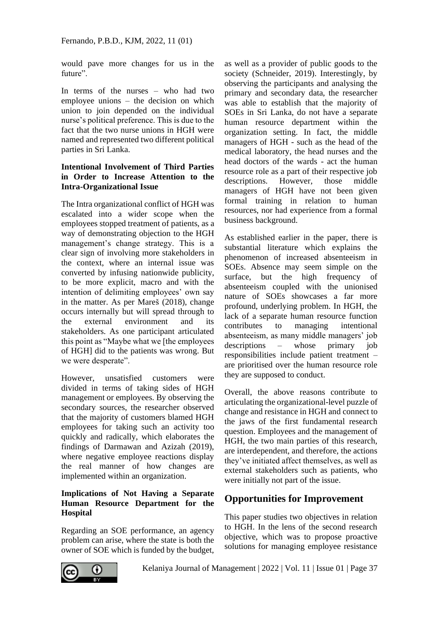would pave more changes for us in the future".

In terms of the nurses – who had two employee unions – the decision on which union to join depended on the individual nurse's political preference. This is due to the fact that the two nurse unions in HGH were named and represented two different political parties in Sri Lanka.

### **Intentional Involvement of Third Parties in Order to Increase Attention to the Intra-Organizational Issue**

The Intra organizational conflict of HGH was escalated into a wider scope when the employees stopped treatment of patients, as a way of demonstrating objection to the HGH management's change strategy. This is a clear sign of involving more stakeholders in the context, where an internal issue was converted by infusing nationwide publicity, to be more explicit, macro and with the intention of delimiting employees' own say in the matter. As per Mareš (2018), change occurs internally but will spread through to the external environment and its stakeholders. As one participant articulated this point as "Maybe what we [the employees of HGH] did to the patients was wrong. But we were desperate".

However, unsatisfied customers were divided in terms of taking sides of HGH management or employees. By observing the secondary sources, the researcher observed that the majority of customers blamed HGH employees for taking such an activity too quickly and radically, which elaborates the findings of Darmawan and Azizah (2019), where negative employee reactions display the real manner of how changes are implemented within an organization.

### **Implications of Not Having a Separate Human Resource Department for the Hospital**

Regarding an SOE performance, an agency problem can arise, where the state is both the owner of SOE which is funded by the budget,

as well as a provider of public goods to the society (Schneider, 2019). Interestingly, by observing the participants and analysing the primary and secondary data, the researcher was able to establish that the majority of SOEs in Sri Lanka, do not have a separate human resource department within the organization setting. In fact, the middle managers of HGH - such as the head of the medical laboratory, the head nurses and the head doctors of the wards - act the human resource role as a part of their respective job descriptions. However, those middle managers of HGH have not been given formal training in relation to human resources, nor had experience from a formal business background.

As established earlier in the paper, there is substantial literature which explains the phenomenon of increased absenteeism in SOEs. Absence may seem simple on the surface, but the high frequency of absenteeism coupled with the unionised nature of SOEs showcases a far more profound, underlying problem. In HGH, the lack of a separate human resource function contributes to managing intentional absenteeism, as many middle managers' job descriptions – whose primary job responsibilities include patient treatment – are prioritised over the human resource role they are supposed to conduct.

Overall, the above reasons contribute to articulating the organizational-level puzzle of change and resistance in HGH and connect to the jaws of the first fundamental research question. Employees and the management of HGH, the two main parties of this research, are interdependent, and therefore, the actions they've initiated affect themselves, as well as external stakeholders such as patients, who were initially not part of the issue.

# **Opportunities for Improvement**

This paper studies two objectives in relation to HGH. In the lens of the second research objective, which was to propose proactive solutions for managing employee resistance

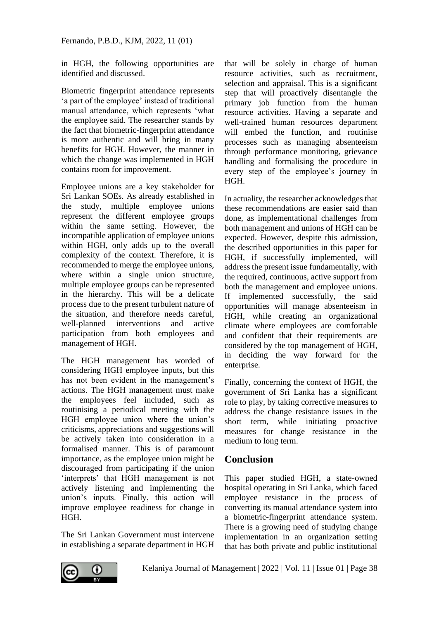in HGH, the following opportunities are identified and discussed.

Biometric fingerprint attendance represents 'a part of the employee' instead of traditional manual attendance, which represents 'what the employee said. The researcher stands by the fact that biometric-fingerprint attendance is more authentic and will bring in many benefits for HGH. However, the manner in which the change was implemented in HGH contains room for improvement.

Employee unions are a key stakeholder for Sri Lankan SOEs. As already established in the study, multiple employee unions represent the different employee groups within the same setting. However, the incompatible application of employee unions within HGH, only adds up to the overall complexity of the context. Therefore, it is recommended to merge the employee unions, where within a single union structure, multiple employee groups can be represented in the hierarchy. This will be a delicate process due to the present turbulent nature of the situation, and therefore needs careful, well-planned interventions and active participation from both employees and management of HGH.

The HGH management has worded of considering HGH employee inputs, but this has not been evident in the management's actions. The HGH management must make the employees feel included, such as routinising a periodical meeting with the HGH employee union where the union's criticisms, appreciations and suggestions will be actively taken into consideration in a formalised manner. This is of paramount importance, as the employee union might be discouraged from participating if the union 'interprets' that HGH management is not actively listening and implementing the union's inputs. Finally, this action will improve employee readiness for change in HGH.

The Sri Lankan Government must intervene in establishing a separate department in HGH

that will be solely in charge of human resource activities, such as recruitment, selection and appraisal. This is a significant step that will proactively disentangle the primary job function from the human resource activities. Having a separate and well-trained human resources department will embed the function, and routinise processes such as managing absenteeism through performance monitoring, grievance handling and formalising the procedure in every step of the employee's journey in HGH.

In actuality, the researcher acknowledges that these recommendations are easier said than done, as implementational challenges from both management and unions of HGH can be expected. However, despite this admission, the described opportunities in this paper for HGH, if successfully implemented, will address the present issue fundamentally, with the required, continuous, active support from both the management and employee unions. If implemented successfully, the said opportunities will manage absenteeism in HGH, while creating an organizational climate where employees are comfortable and confident that their requirements are considered by the top management of HGH, in deciding the way forward for the enterprise.

Finally, concerning the context of HGH, the government of Sri Lanka has a significant role to play, by taking corrective measures to address the change resistance issues in the short term, while initiating proactive measures for change resistance in the medium to long term.

### **Conclusion**

This paper studied HGH, a state-owned hospital operating in Sri Lanka, which faced employee resistance in the process of converting its manual attendance system into a biometric-fingerprint attendance system. There is a growing need of studying change implementation in an organization setting that has both private and public institutional

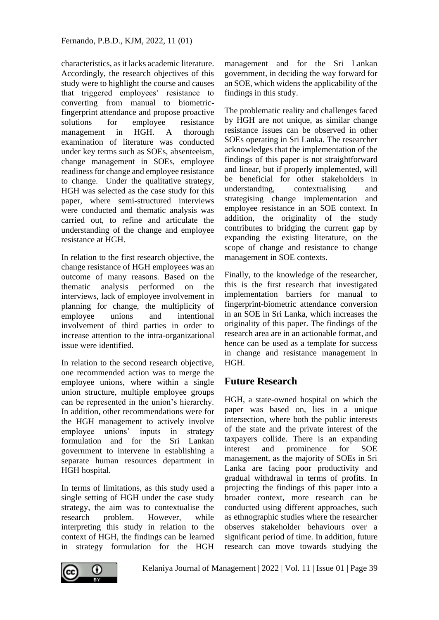characteristics, as it lacks academic literature. Accordingly, the research objectives of this study were to highlight the course and causes that triggered employees' resistance to converting from manual to biometricfingerprint attendance and propose proactive solutions for employee resistance management in HGH. A thorough examination of literature was conducted under key terms such as SOEs, absenteeism, change management in SOEs, employee readiness for change and employee resistance to change. Under the qualitative strategy, HGH was selected as the case study for this paper, where semi-structured interviews were conducted and thematic analysis was carried out, to refine and articulate the understanding of the change and employee resistance at HGH.

In relation to the first research objective, the change resistance of HGH employees was an outcome of many reasons. Based on the thematic analysis performed on the interviews, lack of employee involvement in planning for change, the multiplicity of employee unions and intentional involvement of third parties in order to increase attention to the intra-organizational issue were identified.

In relation to the second research objective, one recommended action was to merge the employee unions, where within a single union structure, multiple employee groups can be represented in the union's hierarchy. In addition, other recommendations were for the HGH management to actively involve employee unions' inputs in strategy formulation and for the Sri Lankan government to intervene in establishing a separate human resources department in HGH hospital.

In terms of limitations, as this study used a single setting of HGH under the case study strategy, the aim was to contextualise the research problem. However, while interpreting this study in relation to the context of HGH, the findings can be learned in strategy formulation for the HGH

management and for the Sri Lankan government, in deciding the way forward for an SOE, which widens the applicability of the findings in this study.

The problematic reality and challenges faced by HGH are not unique, as similar change resistance issues can be observed in other SOEs operating in Sri Lanka. The researcher acknowledges that the implementation of the findings of this paper is not straightforward and linear, but if properly implemented, will be beneficial for other stakeholders in understanding, contextualising and strategising change implementation and employee resistance in an SOE context. In addition, the originality of the study contributes to bridging the current gap by expanding the existing literature, on the scope of change and resistance to change management in SOE contexts.

Finally, to the knowledge of the researcher, this is the first research that investigated implementation barriers for manual to fingerprint-biometric attendance conversion in an SOE in Sri Lanka, which increases the originality of this paper. The findings of the research area are in an actionable format, and hence can be used as a template for success in change and resistance management in HGH.

# **Future Research**

HGH, a state-owned hospital on which the paper was based on, lies in a unique intersection, where both the public interests of the state and the private interest of the taxpayers collide. There is an expanding interest and prominence for SOE management, as the majority of SOEs in Sri Lanka are facing poor productivity and gradual withdrawal in terms of profits. In projecting the findings of this paper into a broader context, more research can be conducted using different approaches, such as ethnographic studies where the researcher observes stakeholder behaviours over a significant period of time. In addition, future research can move towards studying the

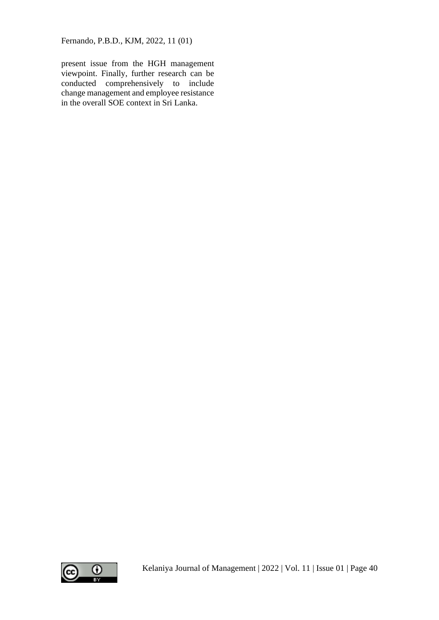present issue from the HGH management viewpoint. Finally, further research can be conducted comprehensively to include change management and employee resistance in the overall SOE context in Sri Lanka.

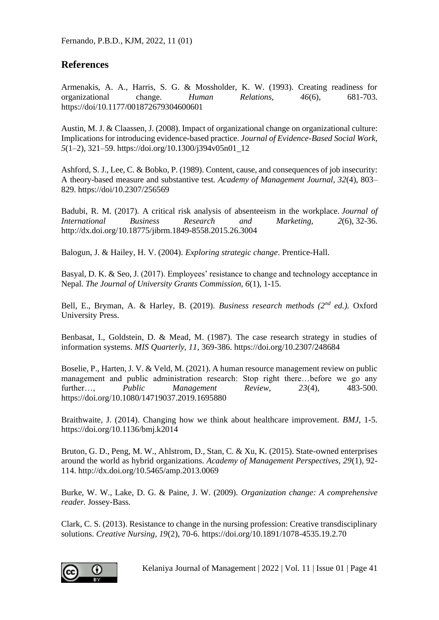### **References**

Armenakis, A. A., Harris, S. G. & Mossholder, K. W. (1993). Creating readiness for organizational change. *Human Relations, 46*(6), 681-703. https://doi/10.1177/001872679304600601

Austin, M. J. & Claassen, J. (2008). Impact of organizational change on organizational culture: Implications for introducing evidence-based practice. *Journal of Evidence-Based Social Work, 5*(1–2), 321–59. https://doi.org/10.1300/j394v05n01\_12

Ashford, S. J., Lee, C. & Bobko, P. (1989). Content, cause, and consequences of job insecurity: A theory-based measure and substantive test. *Academy of Management Journal, 32*(4), 803– 829. https://doi/10.2307/256569

Badubi, R. M. (2017). A critical risk analysis of absenteeism in the workplace. *Journal of International Business Research and Marketing, 2*(6), 32-36. http://dx.doi.org/10.18775/jibrm.1849-8558.2015.26.3004

Balogun, J. & Hailey, H. V. (2004). *Exploring strategic change*. Prentice-Hall.

Basyal, D. K. & Seo, J. (2017). Employees' resistance to change and technology acceptance in Nepal. *The Journal of University Grants Commission, 6*(1), 1-15.

Bell, E., Bryman, A. & Harley, B. (2019). *Business research methods (2nd ed.).* Oxford University Press.

Benbasat, I., Goldstein, D. & Mead, M. (1987). The case research strategy in studies of information systems. *MIS Quarterly, 11*, 369-386. https://doi.org/10.2307/248684

Boselie, P., Harten, J. V. & Veld, M. (2021). A human resource management review on public management and public administration research: Stop right there…before we go any further…, *Public Management Review, 23*(4), 483-500. https://doi.org/10.1080/14719037.2019.1695880

Braithwaite, J. (2014). Changing how we think about healthcare improvement. *BMJ*, 1-5. https://doi.org/10.1136/bmj.k2014

Bruton, G. D., Peng, M. W., Ahlstrom, D., Stan, C. & Xu, K. (2015). State-owned enterprises around the world as hybrid organizations. *Academy of Management Perspectives, 29*(1), 92- 114. http://dx.doi.org/10.5465/amp.2013.0069

Burke, W. W., Lake, D. G. & Paine, J. W. (2009). *Organization change: A comprehensive reader.* Jossey-Bass.

Clark, C. S. (2013). Resistance to change in the nursing profession: Creative transdisciplinary solutions. *Creative Nursing, 19*(2), 70-6. https://doi.org/10.1891/1078-4535.19.2.70

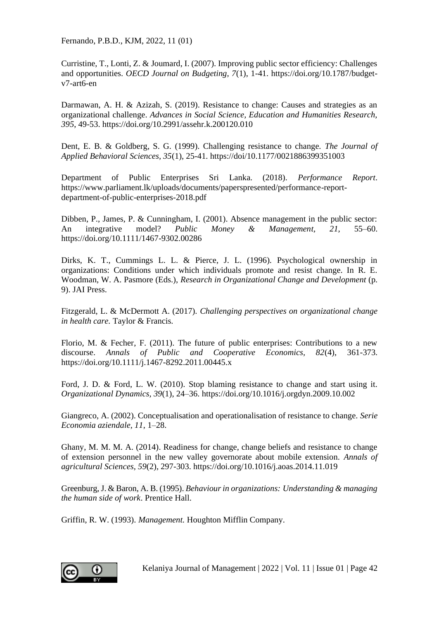Curristine, T., Lonti, Z. & Joumard, I. (2007). Improving public sector efficiency: Challenges and opportunities. *OECD Journal on Budgeting, 7*(1), 1-41. https://doi.org/10.1787/budgetv7-art6-en

Darmawan, A. H. & Azizah, S. (2019). Resistance to change: Causes and strategies as an organizational challenge. *Advances in Social Science, Education and Humanities Research, 395*, 49-53. https://doi.org/10.2991/assehr.k.200120.010

Dent, E. B. & Goldberg, S. G. (1999). Challenging resistance to change. *The Journal of Applied Behavioral Sciences, 35*(1), 25-41. https://doi/10.1177/0021886399351003

Department of Public Enterprises Sri Lanka. (2018). *Performance Report*. https://www.parliament.lk/uploads/documents/paperspresented/performance-reportdepartment-of-public-enterprises-2018.pdf

Dibben, P., James, P. & Cunningham, I. (2001). Absence management in the public sector: An integrative model? *Public Money & Management, 21,* 55–60. https://doi.org/10.1111/1467-9302.00286

Dirks, K. T., Cummings L. L. & Pierce, J. L. (1996). Psychological ownership in organizations: Conditions under which individuals promote and resist change. In R. E. Woodman, W. A. Pasmore (Eds.), *Research in Organizational Change and Development* (p. 9). JAI Press.

Fitzgerald, L. & McDermott A. (2017). *Challenging perspectives on organizational change in health care.* Taylor & Francis.

Florio, M. & Fecher, F. (2011). The future of public enterprises: Contributions to a new discourse. *Annals of Public and Cooperative Economics, 82*(4), 361-373. https://doi.org/10.1111/j.1467-8292.2011.00445.x

Ford, J. D. & Ford, L. W. (2010). Stop blaming resistance to change and start using it. *Organizational Dynamics, 39*(1), 24–36. https://doi.org/10.1016/j.orgdyn.2009.10.002

Giangreco, A. (2002). Conceptualisation and operationalisation of resistance to change. *Serie Economia aziendale, 11*, 1–28.

Ghany, M. M. M. A. (2014). Readiness for change, change beliefs and resistance to change of extension personnel in the new valley governorate about mobile extension. *Annals of agricultural Sciences, 59*(2), 297-303. https://doi.org/10.1016/j.aoas.2014.11.019

Greenburg, J. & Baron, A. B. (1995). *Behaviour in organizations: Understanding & managing the human side of work*. Prentice Hall.

Griffin, R. W. (1993). *Management.* Houghton Mifflin Company.

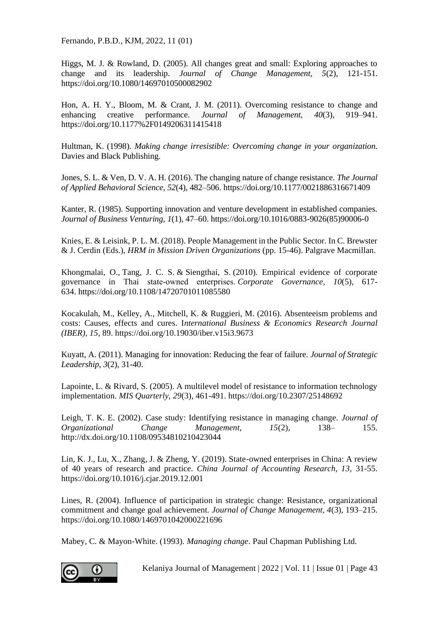Higgs, M. J. & Rowland, D. (2005). All changes great and small: Exploring approaches to change and its leadership. *Journal of Change Management, 5*(2), 121-151. https://doi.org/10.1080/14697010500082902

Hon, A. H. Y., Bloom, M. & Crant, J. M. (2011). Overcoming resistance to change and enhancing creative performance. *Journal of Management, 40*(3), 919–941. https://doi.org/10.1177%2F0149206311415418

Hultman, K. (1998). *Making change irresistible: Overcoming change in your organization.* Davies and Black Publishing.

Jones, S. L. & Ven, D. V. A. H. (2016). The changing nature of change resistance. *The Journal of Applied Behavioral Science, 52*(4), 482–506. https://doi.org/10.1177/0021886316671409

Kanter, R. (1985). Supporting innovation and venture development in established companies. *Journal of Business Venturing, 1*(1), 47–60. https://doi.org/10.1016/0883-9026(85)90006-0

Knies, E. & Leisink, P. L. M. (2018). People Management in the Public Sector. In C. Brewster & J. Cerdin (Eds.), *HRM in Mission Driven Organizations* (pp. 15-46). Palgrave Macmillan.

Khongmalai, O., Tang, J. C. S. & Siengthai, S. (2010). Empirical evidence of corporate governance in Thai state‐owned enterprises. *Corporate Governance, 10*(5), 617- 634. https://doi.org/10.1108/14720701011085580

Kocakulah, M., Kelley, A., Mitchell, K. & Ruggieri, M. (2016). Absenteeism problems and costs: Causes, effects and cures. I*nternational Business & Economics Research Journal (IBER), 15,* 89. https://doi.org/10.19030/iber.v15i3.9673

Kuyatt, A. (2011). Managing for innovation: Reducing the fear of failure. *Journal of Strategic Leadership, 3*(2), 31-40.

Lapointe, L. & Rivard, S. (2005). A multilevel model of resistance to information technology implementation. *MIS Quarterly, 29*(3), 461-491. https://doi.org/10.2307/25148692

Leigh, T. K. E. (2002). Case study: Identifying resistance in managing change. *Journal of Organizational Change Management, 15*(2), 138– 155. http://dx.doi.org/10.1108/09534810210423044

Lin, K. J., Lu, X., Zhang, J. & Zheng, Y. (2019). State-owned enterprises in China: A review of 40 years of research and practice. *China Journal of Accounting Research, 13,* 31-55. https://doi.org/10.1016/j.cjar.2019.12.001

Lines, R. (2004). Influence of participation in strategic change: Resistance, organizational commitment and change goal achievement. *Journal of Change Management, 4*(3), 193–215. https://doi.org/10.1080/1469701042000221696

Mabey, C. & Mayon-White. (1993). *Managing change*. Paul Chapman Publishing Ltd.

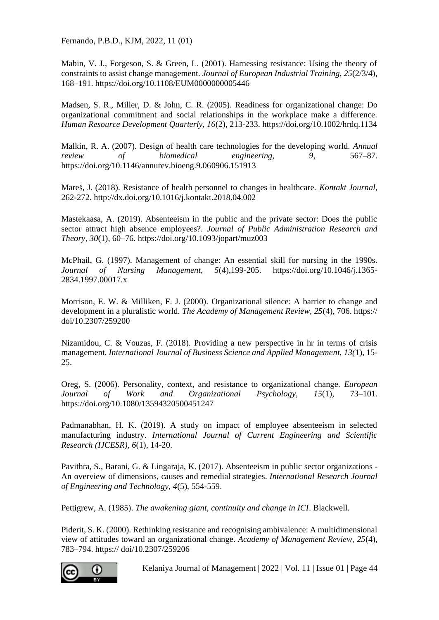Mabin, V. J., Forgeson, S. & Green, L. (2001). Harnessing resistance: Using the theory of constraints to assist change management. *Journal of European Industrial Training, 25*(2/3/4), 168–191. https://doi.org/10.1108/EUM0000000005446

Madsen, S. R., Miller, D. & John, C. R. (2005). Readiness for organizational change: Do organizational commitment and social relationships in the workplace make a difference. *Human Resource Development Quarterly, 16*(2), 213-233. https://doi.org/10.1002/hrdq.1134

Malkin, R. A. (2007). Design of health care technologies for the developing world. *Annual review of biomedical engineering, 9*, 567–87. https://doi.org/10.1146/annurev.bioeng.9.060906.151913

Mareš, J. (2018). Resistance of health personnel to changes in healthcare. *Kontakt Journal,*  262-272. http://dx.doi.org/10.1016/j.kontakt.2018.04.002

Mastekaasa, A. (2019). Absenteeism in the public and the private sector: Does the public sector attract high absence employees?. *Journal of Public Administration Research and Theory, 30*(1), 60–76. https://doi.org/10.1093/jopart/muz003

McPhail, G. (1997). Management of change: An essential skill for nursing in the 1990s. *Journal of Nursing Management, 5*(4),199-205. https://doi.org/10.1046/j.1365- 2834.1997.00017.x

Morrison, E. W. & Milliken, F. J. (2000). Organizational silence: A barrier to change and development in a pluralistic world. *The Academy of Management Review, 25*(4), 706. https:// doi/10.2307/259200

Nizamidou, C. & Vouzas, F. (2018). Providing a new perspective in hr in terms of crisis management. *International Journal of Business Science and Applied Management, 13(*1), 15- 25.

Oreg, S. (2006). Personality, context, and resistance to organizational change. *European Journal of Work and Organizational Psychology, 15*(1), 73–101. https://doi.org/10.1080/13594320500451247

Padmanabhan, H. K. (2019). A study on impact of employee absenteeism in selected manufacturing industry. *International Journal of Current Engineering and Scientific Research (IJCESR), 6*(1), 14-20.

Pavithra, S., Barani, G. & Lingaraja, K. (2017). Absenteeism in public sector organizations - An overview of dimensions, causes and remedial strategies. *International Research Journal of Engineering and Technology, 4*(5), 554-559.

Pettigrew, A. (1985). *The awakening giant, continuity and change in ICI*. Blackwell.

Piderit, S. K. (2000). Rethinking resistance and recognising ambivalence: A multidimensional view of attitudes toward an organizational change. *Academy of Management Review, 25*(4), 783–794. https:// doi/10.2307/259206

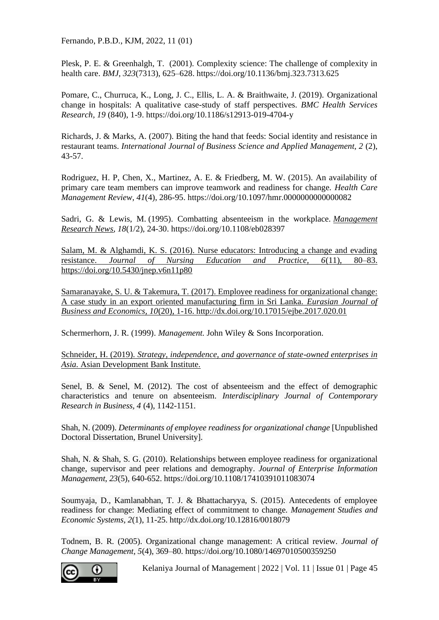Plesk, P. E. & Greenhalgh, T. (2001). Complexity science: The challenge of complexity in health care. *BMJ, 323*(7313), 625–628. https://doi.org/10.1136/bmj.323.7313.625

Pomare, C., Churruca, K., Long, J. C., Ellis, L. A. & Braithwaite, J. (2019). Organizational change in hospitals: A qualitative case-study of staff perspectives. *BMC Health Services Research, 19* (840), 1-9. https://doi.org/10.1186/s12913-019-4704-y

Richards, J. & Marks, A. (2007). Biting the hand that feeds: Social identity and resistance in restaurant teams. *International Journal of Business Science and Applied Management, 2* (2), 43-57.

Rodriguez, H. P, Chen, X., Martinez, A. E. & Friedberg, M. W. (2015). An availability of primary care team members can improve teamwork and readiness for change. *Health Care Management Review, 41*(4), 286-95. https://doi.org/10.1097/hmr.0000000000000082

Sadri, G. & Lewis, M. (1995). Combatting absenteeism in the workplace. *[Management](https://www.emerald.com/insight/publication/issn/0140-9174)  [Research News,](https://www.emerald.com/insight/publication/issn/0140-9174) 18*(1/2), 24-30. https://doi.org/10.1108/eb028397

Salam, M. & Alghamdi, K. S. (2016). Nurse educators: Introducing a change and evading resistance. *Journal of Nursing Education and Practice, 6*(11), 80–83. https://doi.org/10.5430/jnep.v6n11p80

Samaranayake, S. U. & Takemura, T. (2017). Employee readiness for organizational change: A case study in an export oriented manufacturing firm in Sri Lanka. *Eurasian Journal of Business and Economics, 10*(20), 1-16. http://dx.doi.org/10.17015/ejbe.2017.020.01

Schermerhorn, J. R. (1999). *Management.* John Wiley & Sons Incorporation.

Schneider, H. (2019). *Strategy, independence, and governance of state-owned enterprises in Asia.* Asian Development Bank Institute.

Senel, B. & Senel, M. (2012). The cost of absenteeism and the effect of demographic characteristics and tenure on absenteeism. *Interdisciplinary Journal of Contemporary Research in Business, 4* (4), 1142-1151.

Shah, N. (2009). *Determinants of employee readiness for organizational change* [Unpublished Doctoral Dissertation, Brunel University].

Shah, N. & Shah, S. G. (2010). Relationships between employee readiness for organizational change, supervisor and peer relations and demography. *Journal of Enterprise Information Management, 23*(5), 640-652. https://doi.org/10.1108/17410391011083074

Soumyaja, D., Kamlanabhan, T. J. & Bhattacharyya, S. (2015). Antecedents of employee readiness for change: Mediating effect of commitment to change. *Management Studies and Economic Systems, 2*(1), 11-25. http://dx.doi.org/10.12816/0018079

Todnem, B. R. (2005). Organizational change management: A critical review. *Journal of Change Management, 5*(4), 369–80. https://doi.org/10.1080/14697010500359250